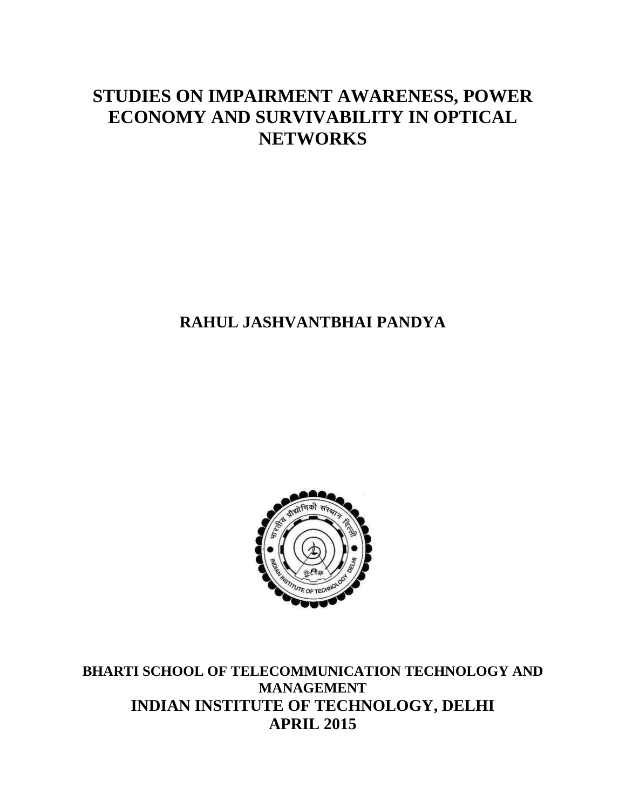### **STUDIES ON IMPAIRMENT AWARENESS, POWER ECONOMY AND SURVIVABILITY IN OPTICAL NETWORKS**

#### **RAHUL JASHVANTBHAI PANDYA**



**BHARTI SCHOOL OF TELECOMMUNICATION TECHNOLOGY AND MANAGEMENT INDIAN INSTITUTE OF TECHNOLOGY, DELHI APRIL 2015**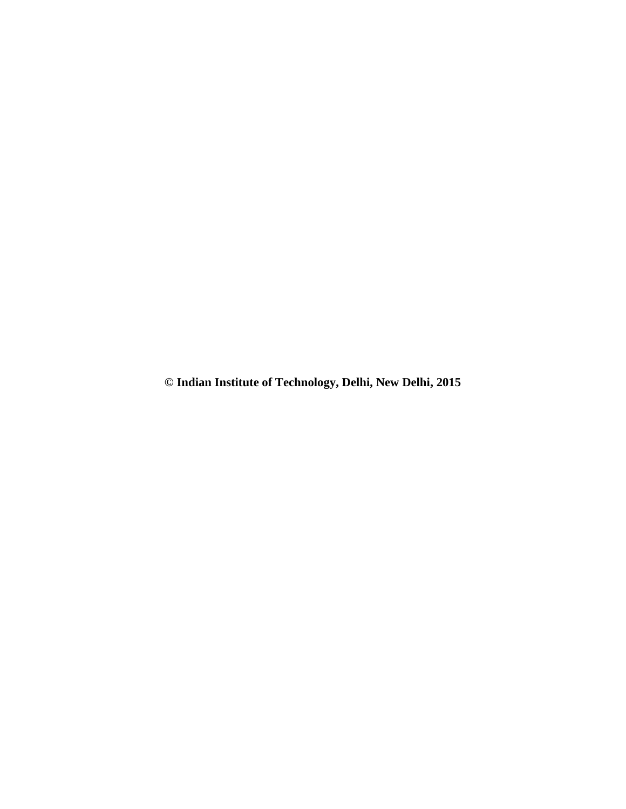**© Indian Institute of Technology, Delhi, New Delhi, 2015**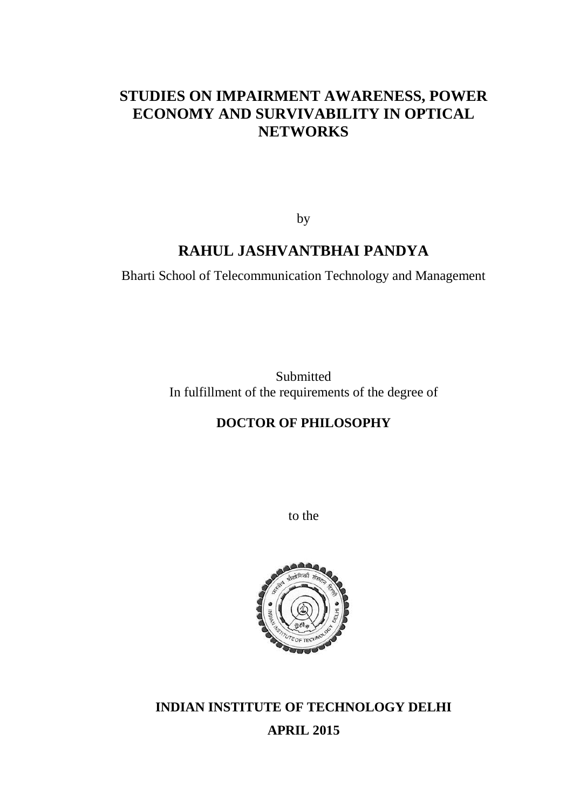#### **STUDIES ON IMPAIRMENT AWARENESS, POWER ECONOMY AND SURVIVABILITY IN OPTICAL NETWORKS**

by

#### **RAHUL JASHVANTBHAI PANDYA**

Bharti School of Telecommunication Technology and Management

Submitted In fulfillment of the requirements of the degree of

#### **DOCTOR OF PHILOSOPHY**

to the



**INDIAN INSTITUTE OF TECHNOLOGY DELHI APRIL 2015**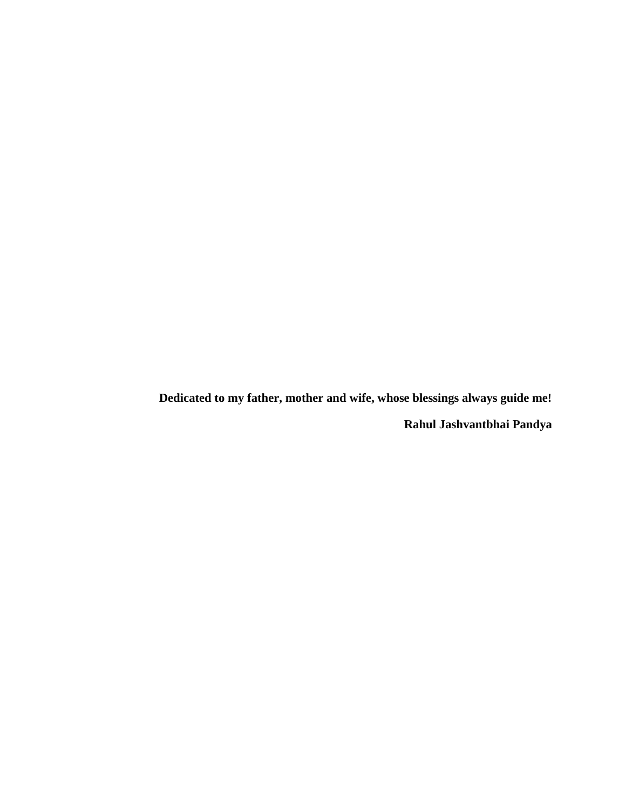**Dedicated to my father, mother and wife, whose blessings always guide me!**

**Rahul Jashvantbhai Pandya**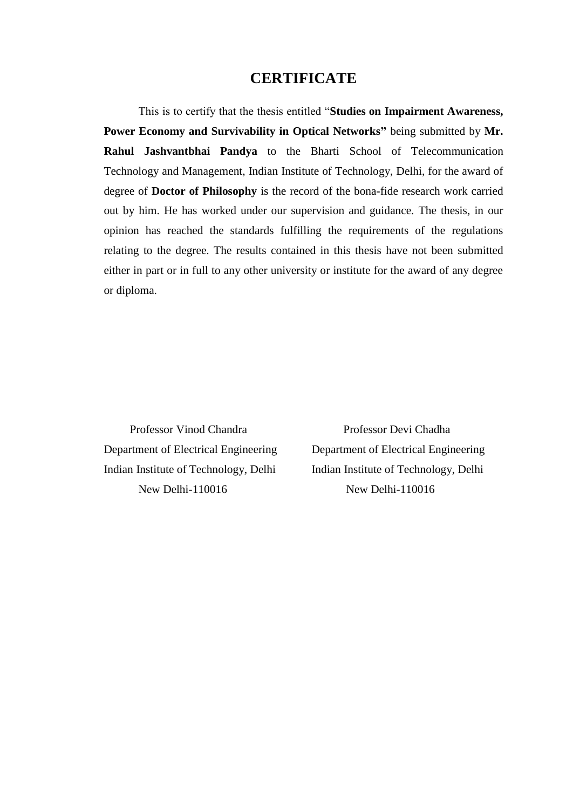#### **CERTIFICATE**

This is to certify that the thesis entitled "**Studies on Impairment Awareness, Power Economy and Survivability in Optical Networks"** being submitted by **Mr. Rahul Jashvantbhai Pandya** to the Bharti School of Telecommunication Technology and Management, Indian Institute of Technology, Delhi, for the award of degree of **Doctor of Philosophy** is the record of the bona-fide research work carried out by him. He has worked under our supervision and guidance. The thesis, in our opinion has reached the standards fulfilling the requirements of the regulations relating to the degree. The results contained in this thesis have not been submitted either in part or in full to any other university or institute for the award of any degree or diploma.

Department of Electrical Engineering Department of Electrical Engineering Indian Institute of Technology, Delhi Indian Institute of Technology, Delhi New Delhi-110016 New Delhi-110016

Professor Vinod Chandra Professor Devi Chadha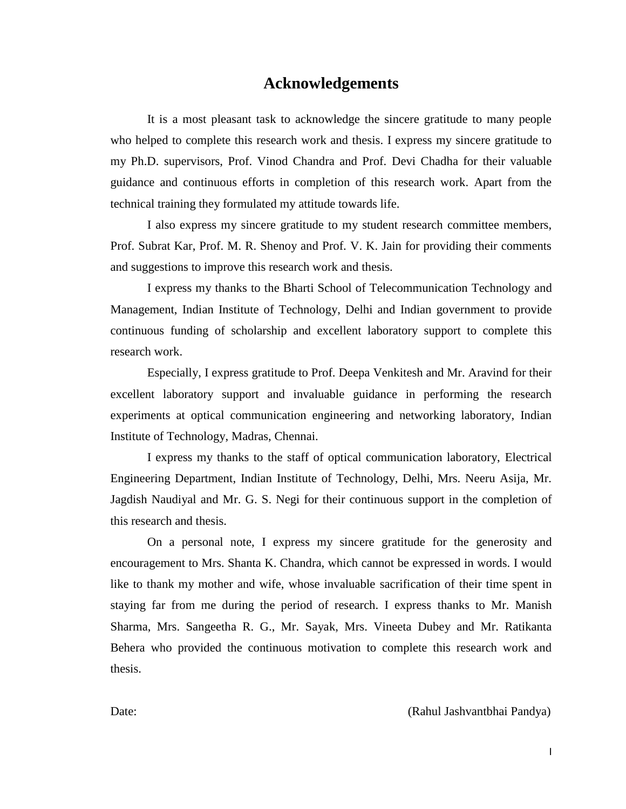#### **Acknowledgements**

It is a most pleasant task to acknowledge the sincere gratitude to many people who helped to complete this research work and thesis. I express my sincere gratitude to my Ph.D. supervisors, Prof. Vinod Chandra and Prof. Devi Chadha for their valuable guidance and continuous efforts in completion of this research work. Apart from the technical training they formulated my attitude towards life.

I also express my sincere gratitude to my student research committee members, Prof. Subrat Kar, Prof. M. R. Shenoy and Prof. V. K. Jain for providing their comments and suggestions to improve this research work and thesis.

I express my thanks to the Bharti School of Telecommunication Technology and Management, Indian Institute of Technology, Delhi and Indian government to provide continuous funding of scholarship and excellent laboratory support to complete this research work.

Especially, I express gratitude to Prof. Deepa Venkitesh and Mr. Aravind for their excellent laboratory support and invaluable guidance in performing the research experiments at optical communication engineering and networking laboratory, Indian Institute of Technology, Madras, Chennai.

I express my thanks to the staff of optical communication laboratory, Electrical Engineering Department, Indian Institute of Technology, Delhi, Mrs. Neeru Asija, Mr. Jagdish Naudiyal and Mr. G. S. Negi for their continuous support in the completion of this research and thesis.

On a personal note, I express my sincere gratitude for the generosity and encouragement to Mrs. Shanta K. Chandra, which cannot be expressed in words. I would like to thank my mother and wife, whose invaluable sacrification of their time spent in staying far from me during the period of research. I express thanks to Mr. Manish Sharma, Mrs. Sangeetha R. G., Mr. Sayak, Mrs. Vineeta Dubey and Mr. Ratikanta Behera who provided the continuous motivation to complete this research work and thesis.

Date: (Rahul Jashvantbhai Pandya)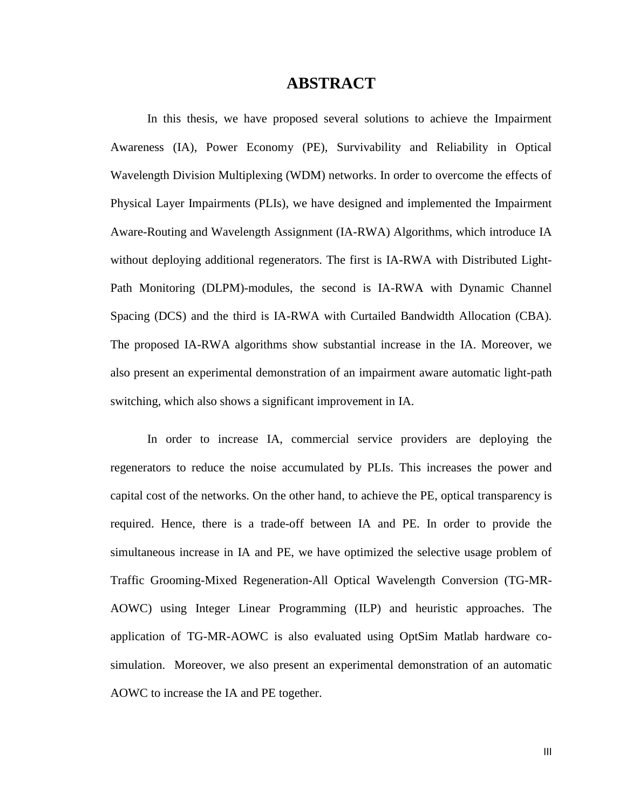#### **ABSTRACT**

In this thesis, we have proposed several solutions to achieve the Impairment Awareness (IA), Power Economy (PE), Survivability and Reliability in Optical Wavelength Division Multiplexing (WDM) networks. In order to overcome the effects of Physical Layer Impairments (PLIs), we have designed and implemented the Impairment Aware-Routing and Wavelength Assignment (IA-RWA) Algorithms, which introduce IA without deploying additional regenerators. The first is IA-RWA with Distributed Light-Path Monitoring (DLPM)-modules, the second is IA-RWA with Dynamic Channel Spacing (DCS) and the third is IA-RWA with Curtailed Bandwidth Allocation (CBA). The proposed IA-RWA algorithms show substantial increase in the IA. Moreover, we also present an experimental demonstration of an impairment aware automatic light-path switching, which also shows a significant improvement in IA.

In order to increase IA, commercial service providers are deploying the regenerators to reduce the noise accumulated by PLIs. This increases the power and capital cost of the networks. On the other hand, to achieve the PE, optical transparency is required. Hence, there is a trade-off between IA and PE. In order to provide the simultaneous increase in IA and PE, we have optimized the selective usage problem of Traffic Grooming-Mixed Regeneration-All Optical Wavelength Conversion (TG-MR-AOWC) using Integer Linear Programming (ILP) and heuristic approaches. The application of TG-MR-AOWC is also evaluated using OptSim Matlab hardware cosimulation. Moreover, we also present an experimental demonstration of an automatic AOWC to increase the IA and PE together.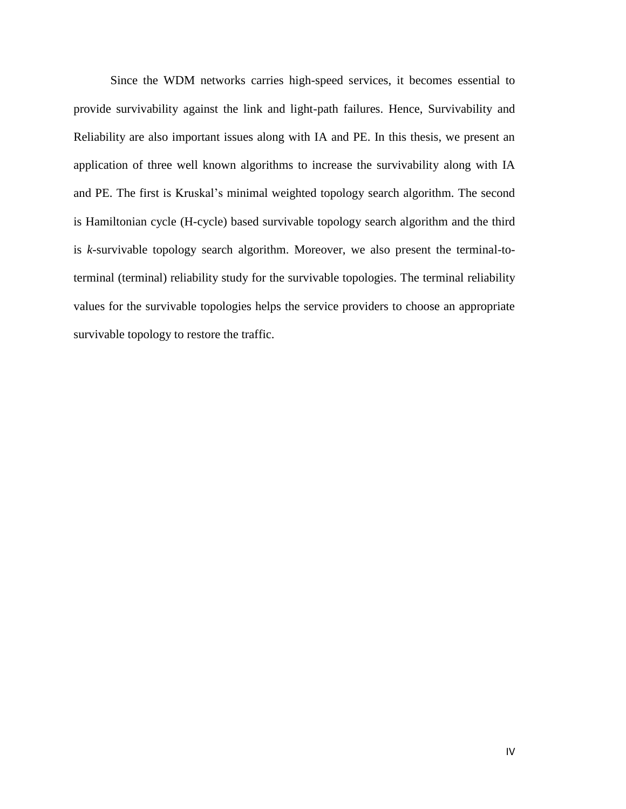Since the WDM networks carries high-speed services, it becomes essential to provide survivability against the link and light-path failures. Hence, Survivability and Reliability are also important issues along with IA and PE. In this thesis, we present an application of three well known algorithms to increase the survivability along with IA and PE. The first is Kruskal's minimal weighted topology search algorithm. The second is Hamiltonian cycle (H-cycle) based survivable topology search algorithm and the third is *k*-survivable topology search algorithm. Moreover, we also present the terminal-toterminal (terminal) reliability study for the survivable topologies. The terminal reliability values for the survivable topologies helps the service providers to choose an appropriate survivable topology to restore the traffic.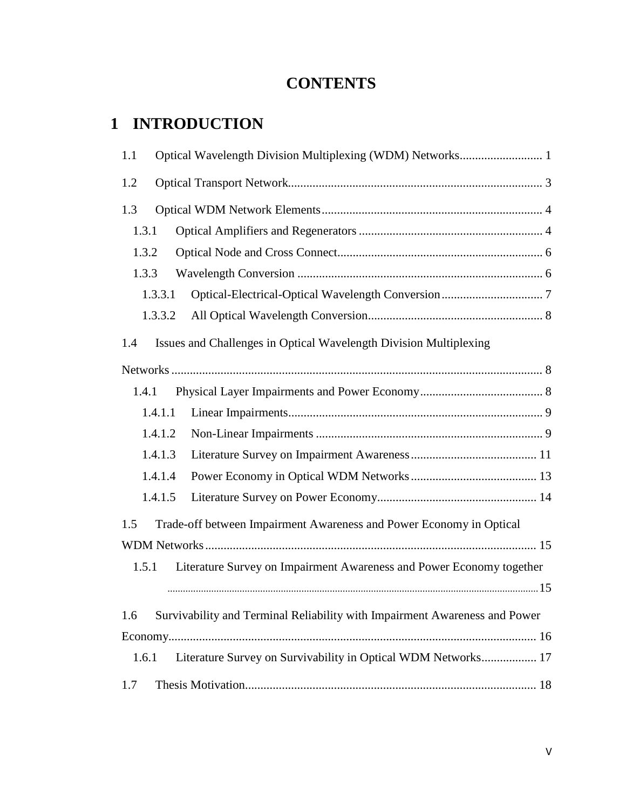#### **CONTENTS**

### **1 INTRODUCTION**

| 1.1                                                                               |
|-----------------------------------------------------------------------------------|
| 1.2                                                                               |
| 1.3                                                                               |
| 1.3.1                                                                             |
| 1.3.2                                                                             |
| 1.3.3                                                                             |
| 1.3.3.1                                                                           |
| 1.3.3.2                                                                           |
| Issues and Challenges in Optical Wavelength Division Multiplexing<br>1.4          |
|                                                                                   |
| 1.4.1                                                                             |
| 1.4.1.1                                                                           |
| 1.4.1.2                                                                           |
| 1.4.1.3                                                                           |
| 1.4.1.4                                                                           |
| 1.4.1.5                                                                           |
| Trade-off between Impairment Awareness and Power Economy in Optical<br>1.5        |
|                                                                                   |
| 1.5.1 Literature Survey on Impairment Awareness and Power Economy together        |
|                                                                                   |
| Survivability and Terminal Reliability with Impairment Awareness and Power<br>1.6 |
|                                                                                   |
| Literature Survey on Survivability in Optical WDM Networks 17<br>1.6.1            |
| 1.7                                                                               |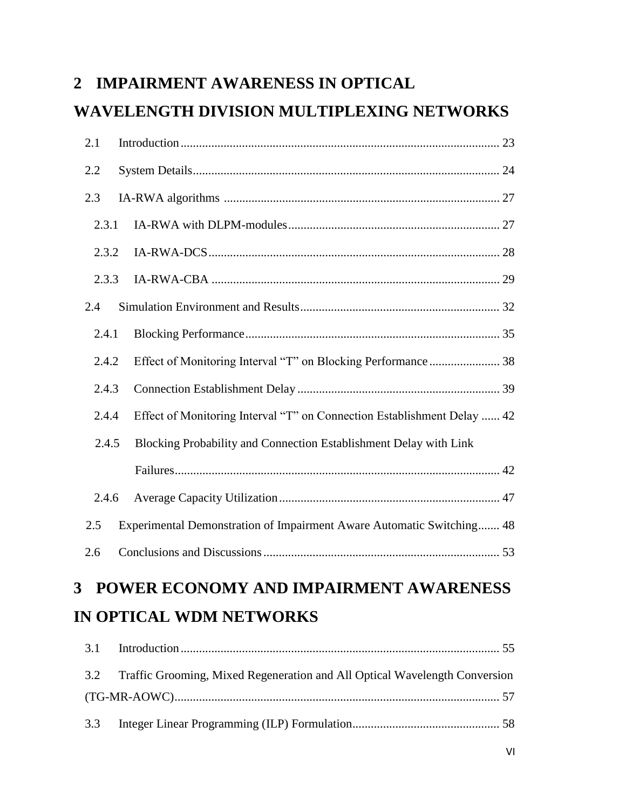# **2 IMPAIRMENT AWARENESS IN OPTICAL WAVELENGTH DIVISION MULTIPLEXING NETWORKS**

| 2.1   |                                                                         |
|-------|-------------------------------------------------------------------------|
| 2.2   |                                                                         |
| 2.3   |                                                                         |
| 2.3.1 |                                                                         |
| 2.3.2 |                                                                         |
| 2.3.3 |                                                                         |
| 2.4   |                                                                         |
| 2.4.1 |                                                                         |
| 2.4.2 |                                                                         |
| 2.4.3 |                                                                         |
| 2.4.4 | Effect of Monitoring Interval "T" on Connection Establishment Delay  42 |
| 2.4.5 | Blocking Probability and Connection Establishment Delay with Link       |
|       |                                                                         |
| 2.4.6 |                                                                         |
| 2.5   | Experimental Demonstration of Impairment Aware Automatic Switching 48   |
| 2.6   |                                                                         |
| 3     | <b>POWER ECONOMY AND IMPAIRMENT AWARENESS</b>                           |
|       | IN OPTICAL WDM NETWORKS                                                 |

| 3.2 Traffic Grooming, Mixed Regeneration and All Optical Wavelength Conversion |  |
|--------------------------------------------------------------------------------|--|
|                                                                                |  |
|                                                                                |  |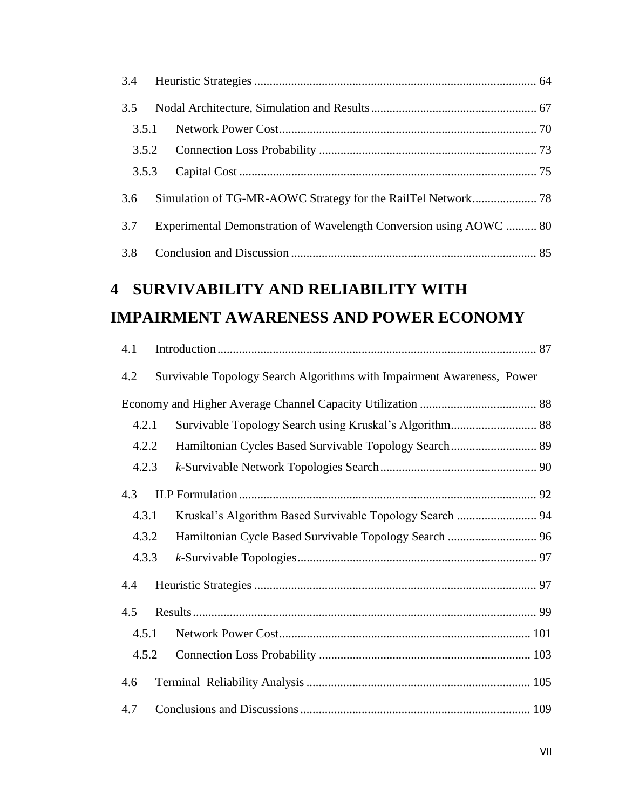| 3.4 |       |                                                                        |  |
|-----|-------|------------------------------------------------------------------------|--|
| 3.5 |       |                                                                        |  |
|     | 3.5.1 |                                                                        |  |
|     | 3.5.2 |                                                                        |  |
|     | 3.5.3 |                                                                        |  |
| 3.6 |       |                                                                        |  |
| 3.7 |       | Experimental Demonstration of Wavelength Conversion using AOWC  80     |  |
| 3.8 |       |                                                                        |  |
| 4   |       | SURVIVABILITY AND RELIABILITY WITH                                     |  |
|     |       | <b>IMPAIRMENT AWARENESS AND POWER ECONOMY</b>                          |  |
| 4.1 |       |                                                                        |  |
| 4.2 |       | Survivable Topology Search Algorithms with Impairment Awareness, Power |  |
|     |       |                                                                        |  |
|     | 4.2.1 | Survivable Topology Search using Kruskal's Algorithm 88                |  |
|     | 4.2.2 |                                                                        |  |
|     | 4.2.3 |                                                                        |  |
| 4.3 |       |                                                                        |  |
|     | 4.3.1 |                                                                        |  |
|     | 4.3.2 |                                                                        |  |
|     | 4.3.3 |                                                                        |  |
| 4.4 |       |                                                                        |  |
| 4.5 |       |                                                                        |  |
|     | 4.5.1 |                                                                        |  |
|     | 4.5.2 |                                                                        |  |
| 4.6 |       |                                                                        |  |
| 4.7 |       |                                                                        |  |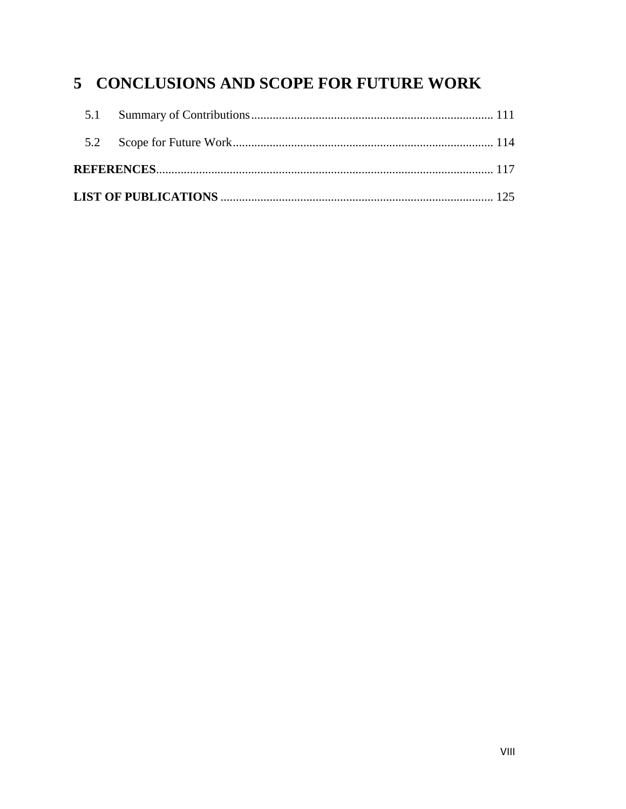### 5 CONCLUSIONS AND SCOPE FOR FUTURE WORK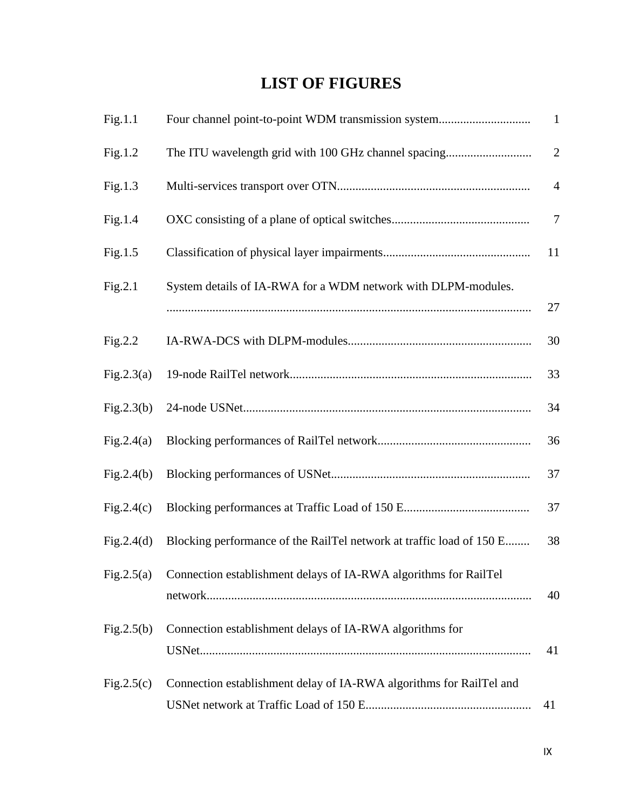# **LIST OF FIGURES**

| Fig.1.1    | Four channel point-to-point WDM transmission system                  | $\mathbf{1}$   |
|------------|----------------------------------------------------------------------|----------------|
| Fig.1.2    | The ITU wavelength grid with 100 GHz channel spacing                 | $\overline{2}$ |
| Fig.1.3    |                                                                      | $\overline{4}$ |
| Fig.1.4    |                                                                      | $\overline{7}$ |
| Fig.1.5    |                                                                      | 11             |
| Fig.2.1    | System details of IA-RWA for a WDM network with DLPM-modules.        | 27             |
| Fig.2.2    |                                                                      | 30             |
| Fig.2.3(a) |                                                                      | 33             |
| Fig.2.3(b) |                                                                      | 34             |
| Fig.2.4(a) |                                                                      | 36             |
| Fig.2.4(b) |                                                                      | 37             |
| Fig.2.4(c) |                                                                      | 37             |
| Fig.2.4(d) | Blocking performance of the RailTel network at traffic load of 150 E | 38             |
| Fig.2.5(a) | Connection establishment delays of IA-RWA algorithms for RailTel     | 40             |
| Fig.2.5(b) | Connection establishment delays of IA-RWA algorithms for             | 41             |
| Fig.2.5(c) | Connection establishment delay of IA-RWA algorithms for RailTel and  | 41             |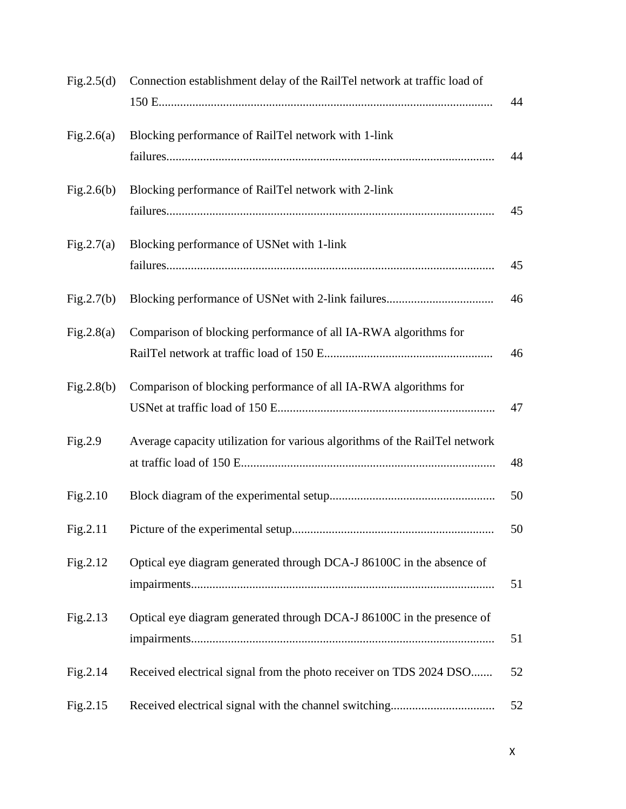| Fig.2.5(d) | Connection establishment delay of the RailTel network at traffic load of   | 44 |
|------------|----------------------------------------------------------------------------|----|
| Fig.2.6(a) | Blocking performance of RailTel network with 1-link                        | 44 |
| Fig.2.6(b) | Blocking performance of RailTel network with 2-link                        | 45 |
| Fig.2.7(a) | Blocking performance of USNet with 1-link                                  | 45 |
| Fig.2.7(b) |                                                                            | 46 |
| Fig.2.8(a) | Comparison of blocking performance of all IA-RWA algorithms for            | 46 |
| Fig.2.8(b) | Comparison of blocking performance of all IA-RWA algorithms for            | 47 |
| Fig.2.9    | Average capacity utilization for various algorithms of the RailTel network | 48 |
| Fig.2.10   |                                                                            | 50 |
| Fig.2.11   |                                                                            | 50 |
| Fig.2.12   | Optical eye diagram generated through DCA-J 86100C in the absence of       | 51 |
| Fig.2.13   | Optical eye diagram generated through DCA-J 86100C in the presence of      | 51 |
| Fig.2.14   | Received electrical signal from the photo receiver on TDS 2024 DSO         | 52 |
| Fig.2.15   |                                                                            | 52 |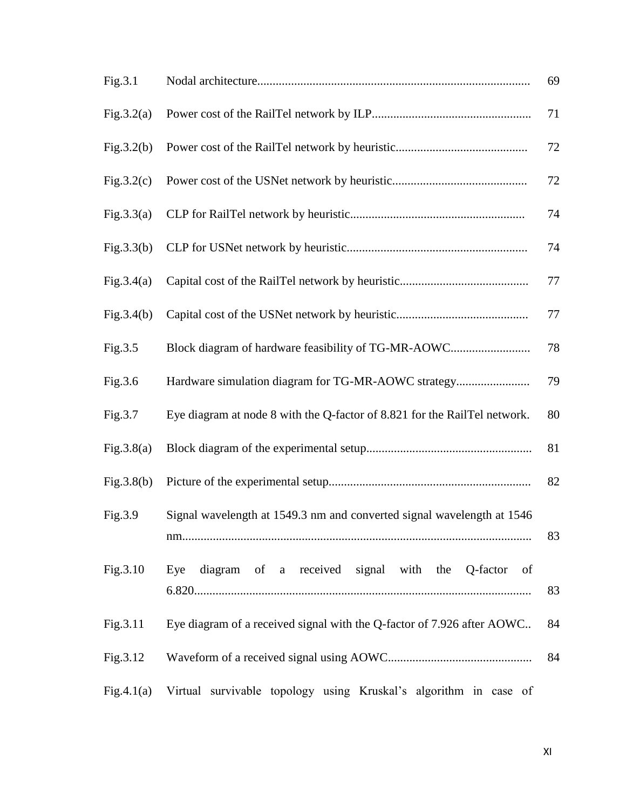| Fig.3.1    |                                                                           | 69 |
|------------|---------------------------------------------------------------------------|----|
| Fig.3.2(a) |                                                                           | 71 |
| Fig.3.2(b) |                                                                           | 72 |
| Fig.3.2(c) |                                                                           | 72 |
| Fig.3.3(a) |                                                                           | 74 |
| Fig.3.3(b) |                                                                           | 74 |
| Fig.3.4(a) |                                                                           | 77 |
| Fig.3.4(b) |                                                                           | 77 |
| Fig.3.5    | Block diagram of hardware feasibility of TG-MR-AOWC                       | 78 |
| Fig.3.6    | Hardware simulation diagram for TG-MR-AOWC strategy                       | 79 |
| Fig.3.7    | Eye diagram at node 8 with the Q-factor of 8.821 for the RailTel network. | 80 |
| Fig.3.8(a) |                                                                           | 81 |
| Fig.3.8(b) |                                                                           | 82 |
| Fig.3.9    | Signal wavelength at 1549.3 nm and converted signal wavelength at 1546    | 83 |
| Fig.3.10   | diagram of a received signal with the Q-factor of<br>Eye                  | 83 |
| Fig.3.11   | Eye diagram of a received signal with the Q-factor of 7.926 after AOWC    | 84 |
| Fig.3.12   |                                                                           | 84 |
| Fig.4.1(a) | Virtual survivable topology using Kruskal's algorithm in case of          |    |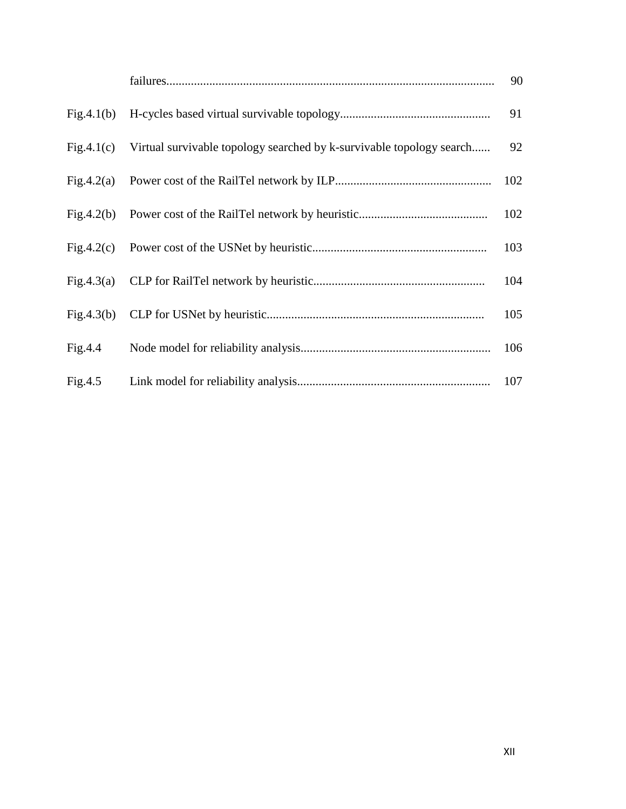|            |                                                                      | 90  |
|------------|----------------------------------------------------------------------|-----|
| Fig.4.1(b) |                                                                      | 91  |
| Fig.4.1(c) | Virtual survivable topology searched by k-survivable topology search | 92  |
| Fig.4.2(a) |                                                                      | 102 |
| Fig.4.2(b) |                                                                      | 102 |
| Fig.4.2(c) |                                                                      | 103 |
|            |                                                                      | 104 |
|            |                                                                      | 105 |
| Fig.4.4    |                                                                      | 106 |
| Fig.4.5    |                                                                      | 107 |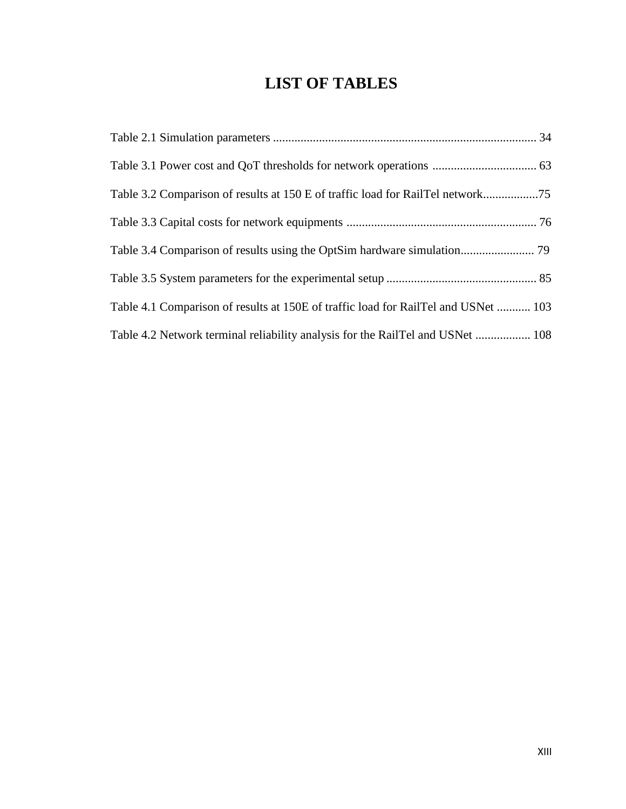# **LIST OF TABLES**

| Table 3.2 Comparison of results at 150 E of traffic load for RailTel network75     |  |
|------------------------------------------------------------------------------------|--|
|                                                                                    |  |
|                                                                                    |  |
|                                                                                    |  |
| Table 4.1 Comparison of results at 150E of traffic load for RailTel and USNet  103 |  |
| Table 4.2 Network terminal reliability analysis for the RailTel and USNet  108     |  |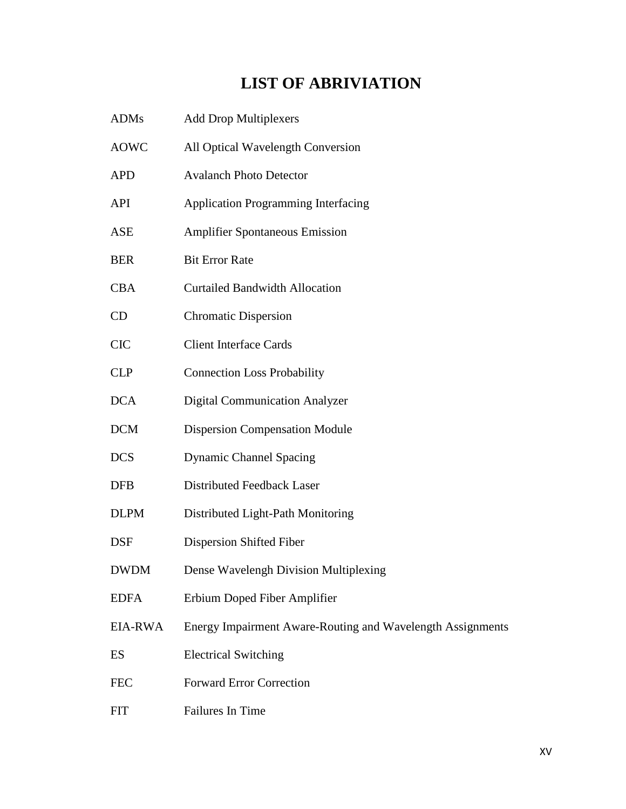# **LIST OF ABRIVIATION**

| <b>ADMs</b> | <b>Add Drop Multiplexers</b>                               |
|-------------|------------------------------------------------------------|
| <b>AOWC</b> | All Optical Wavelength Conversion                          |
| <b>APD</b>  | <b>Avalanch Photo Detector</b>                             |
| <b>API</b>  | <b>Application Programming Interfacing</b>                 |
| <b>ASE</b>  | <b>Amplifier Spontaneous Emission</b>                      |
| <b>BER</b>  | <b>Bit Error Rate</b>                                      |
| <b>CBA</b>  | <b>Curtailed Bandwidth Allocation</b>                      |
| CD          | <b>Chromatic Dispersion</b>                                |
| <b>CIC</b>  | <b>Client Interface Cards</b>                              |
| <b>CLP</b>  | <b>Connection Loss Probability</b>                         |
| <b>DCA</b>  | <b>Digital Communication Analyzer</b>                      |
| <b>DCM</b>  | <b>Dispersion Compensation Module</b>                      |
| <b>DCS</b>  | <b>Dynamic Channel Spacing</b>                             |
| <b>DFB</b>  | Distributed Feedback Laser                                 |
| <b>DLPM</b> | Distributed Light-Path Monitoring                          |
| <b>DSF</b>  | Dispersion Shifted Fiber                                   |
| <b>DWDM</b> | Dense Wavelengh Division Multiplexing                      |
| <b>EDFA</b> | Erbium Doped Fiber Amplifier                               |
| EIA-RWA     | Energy Impairment Aware-Routing and Wavelength Assignments |
| ES          | <b>Electrical Switching</b>                                |
| <b>FEC</b>  | <b>Forward Error Correction</b>                            |
| <b>FIT</b>  | Failures In Time                                           |
|             |                                                            |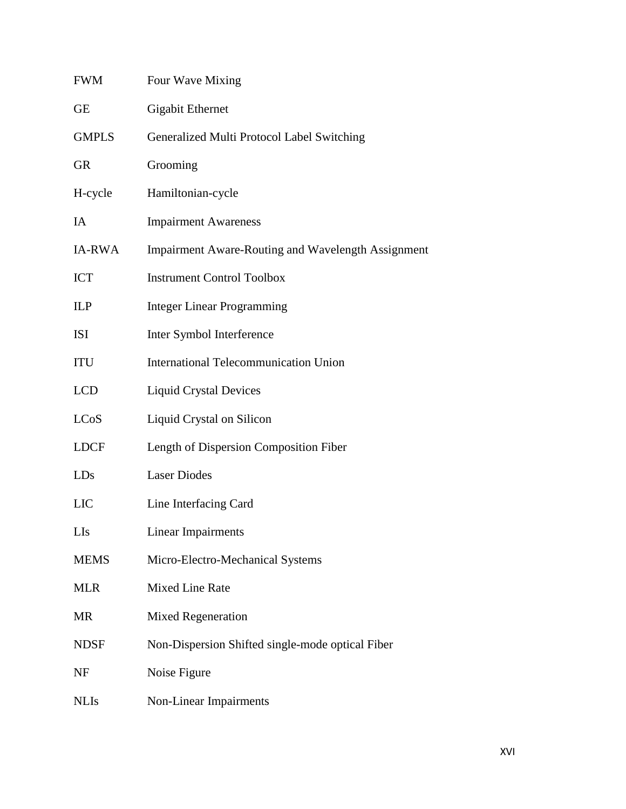| <b>FWM</b>    | Four Wave Mixing                                          |
|---------------|-----------------------------------------------------------|
| <b>GE</b>     | <b>Gigabit Ethernet</b>                                   |
| <b>GMPLS</b>  | Generalized Multi Protocol Label Switching                |
| <b>GR</b>     | Grooming                                                  |
| H-cycle       | Hamiltonian-cycle                                         |
| IA            | <b>Impairment Awareness</b>                               |
| <b>IA-RWA</b> | <b>Impairment Aware-Routing and Wavelength Assignment</b> |
| <b>ICT</b>    | <b>Instrument Control Toolbox</b>                         |
| ILP           | <b>Integer Linear Programming</b>                         |
| <b>ISI</b>    | Inter Symbol Interference                                 |
| ITU           | <b>International Telecommunication Union</b>              |
| <b>LCD</b>    | <b>Liquid Crystal Devices</b>                             |
| <b>LCoS</b>   | Liquid Crystal on Silicon                                 |
| <b>LDCF</b>   | Length of Dispersion Composition Fiber                    |
| LDs           | <b>Laser Diodes</b>                                       |
| <b>LIC</b>    | Line Interfacing Card                                     |
| LIs           | Linear Impairments                                        |
| <b>MEMS</b>   | Micro-Electro-Mechanical Systems                          |
| <b>MLR</b>    | Mixed Line Rate                                           |
| <b>MR</b>     | Mixed Regeneration                                        |
| <b>NDSF</b>   | Non-Dispersion Shifted single-mode optical Fiber          |
| NF            | Noise Figure                                              |
| <b>NLIs</b>   | Non-Linear Impairments                                    |
|               |                                                           |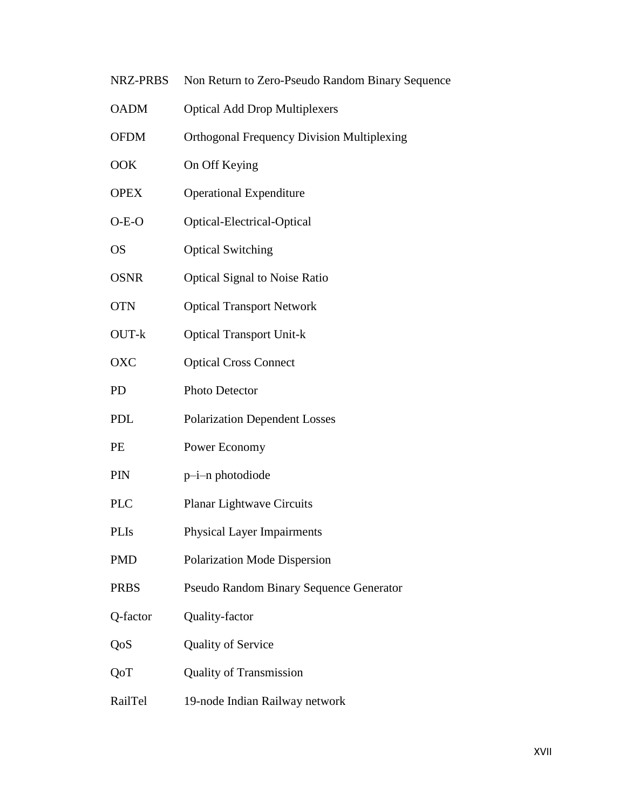- NRZ-PRBS Non Return to Zero-Pseudo Random Binary Sequence
- OADM Optical Add Drop Multiplexers
- OFDM Orthogonal Frequency Division Multiplexing
- OOK On Off Keying
- OPEX Operational Expenditure
- O-E-O Optical-Electrical-Optical
- OS Optical Switching
- OSNR Optical Signal to Noise Ratio
- OTN Optical Transport Network
- OUT-k Optical Transport Unit-k
- OXC Optical Cross Connect
- PD Photo Detector
- PDL Polarization Dependent Losses
- PE Power Economy
- PIN p–i–n photodiode
- PLC Planar Lightwave Circuits
- PLIs Physical Layer Impairments
- PMD Polarization Mode Dispersion
- PRBS Pseudo Random Binary Sequence Generator
- Q-factor Quality-factor
- QoS Quality of Service
- QoT Quality of Transmission
- RailTel 19-node Indian Railway network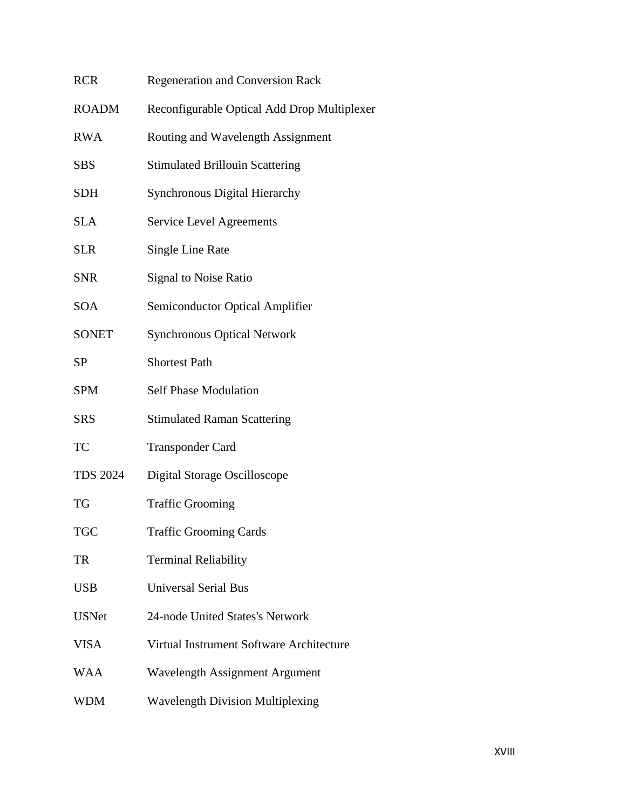| <b>RCR</b>      | Regeneration and Conversion Rack            |
|-----------------|---------------------------------------------|
| <b>ROADM</b>    | Reconfigurable Optical Add Drop Multiplexer |
| <b>RWA</b>      | Routing and Wavelength Assignment           |
| <b>SBS</b>      | <b>Stimulated Brillouin Scattering</b>      |
| <b>SDH</b>      | <b>Synchronous Digital Hierarchy</b>        |
| <b>SLA</b>      | <b>Service Level Agreements</b>             |
| <b>SLR</b>      | Single Line Rate                            |
| <b>SNR</b>      | Signal to Noise Ratio                       |
| <b>SOA</b>      | Semiconductor Optical Amplifier             |
| <b>SONET</b>    | <b>Synchronous Optical Network</b>          |
| <b>SP</b>       | <b>Shortest Path</b>                        |
| <b>SPM</b>      | <b>Self Phase Modulation</b>                |
| <b>SRS</b>      | <b>Stimulated Raman Scattering</b>          |
| TC              | <b>Transponder Card</b>                     |
| <b>TDS 2024</b> | Digital Storage Oscilloscope                |
| TG              | <b>Traffic Grooming</b>                     |
| <b>TGC</b>      | <b>Traffic Grooming Cards</b>               |
| TR              | <b>Terminal Reliability</b>                 |
| <b>USB</b>      | <b>Universal Serial Bus</b>                 |
| <b>USNet</b>    | 24-node United States's Network             |
| <b>VISA</b>     | Virtual Instrument Software Architecture    |
| WAA             | Wavelength Assignment Argument              |
| <b>WDM</b>      | <b>Wavelength Division Multiplexing</b>     |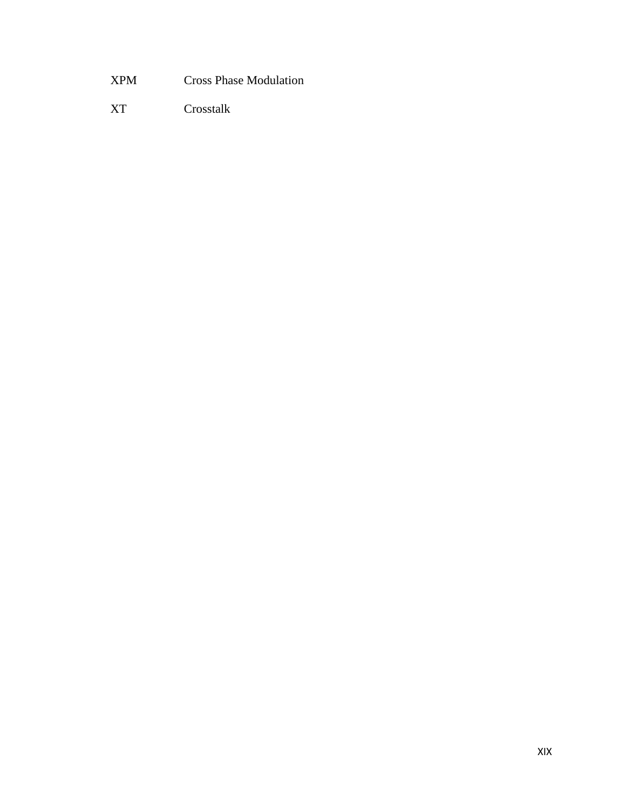XPM Cross Phase Modulation

XT Crosstalk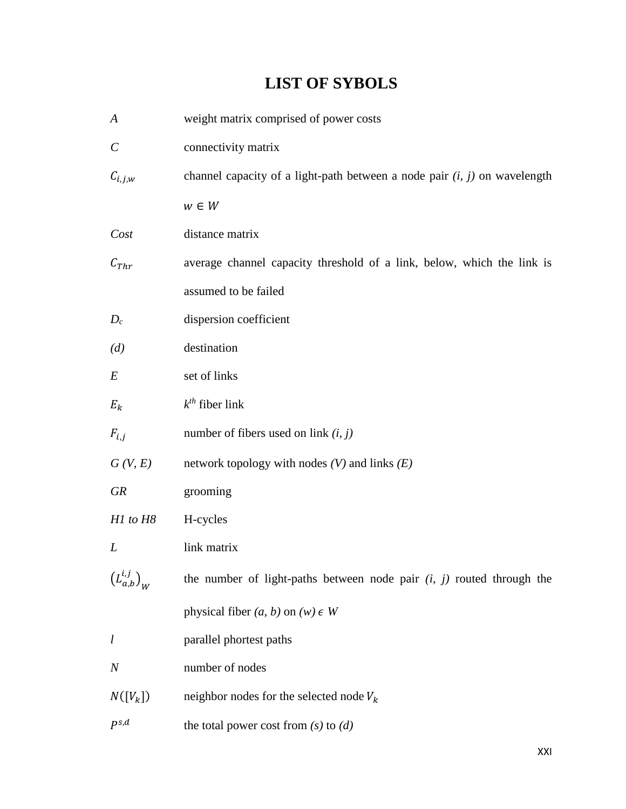# **LIST OF SYBOLS**

| $\boldsymbol{A}$               | weight matrix comprised of power costs                                      |
|--------------------------------|-----------------------------------------------------------------------------|
| $\mathcal{C}_{0}^{(n)}$        | connectivity matrix                                                         |
| $C_{i,j,w}$                    | channel capacity of a light-path between a node pair $(i, j)$ on wavelength |
|                                | $w \in W$                                                                   |
| Cost                           | distance matrix                                                             |
| $C_{Thr}$                      | average channel capacity threshold of a link, below, which the link is      |
|                                | assumed to be failed                                                        |
| $D_c$                          | dispersion coefficient                                                      |
| (d)                            | destination                                                                 |
| $E\,$                          | set of links                                                                |
| $E_k$                          | $k^{th}$ fiber link                                                         |
| $F_{i,j}$                      | number of fibers used on link $(i, j)$                                      |
| G(V, E)                        | network topology with nodes $(V)$ and links $(E)$                           |
| <b>GR</b>                      | grooming                                                                    |
| H1 to H8                       | H-cycles                                                                    |
| L                              | link matrix                                                                 |
| $\left(L^{i,j}_{a,b}\right)_W$ | the number of light-paths between node pair $(i, j)$ routed through the     |
|                                | physical fiber $(a, b)$ on $(w) \in W$                                      |
| $\iota$                        | parallel phortest paths                                                     |
| $\boldsymbol{N}$               | number of nodes                                                             |
| $N([V_k])$                     | neighbor nodes for the selected node $V_k$                                  |
| $P^{s,d}$                      | the total power cost from $(s)$ to $(d)$                                    |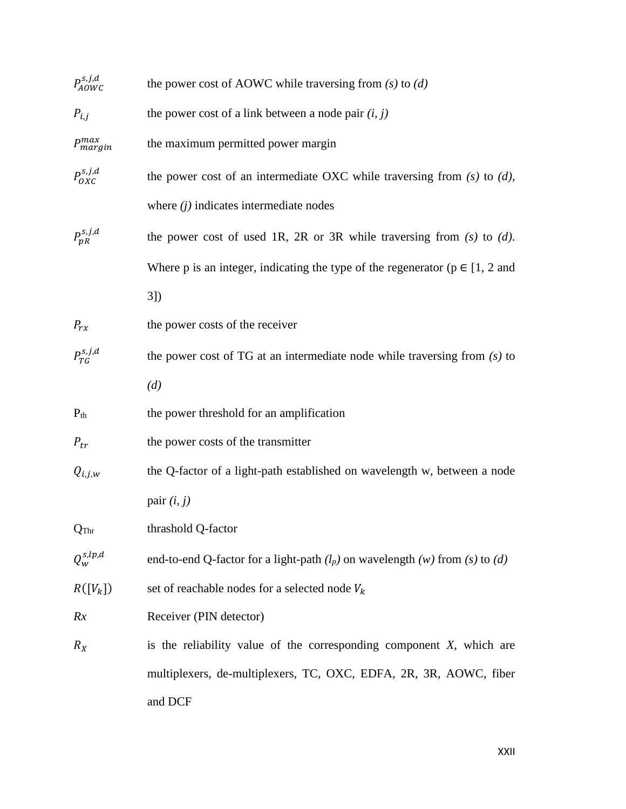| $P_{AOWC}^{s,j,d}$ | the power cost of AOWC while traversing from $(s)$ to $(d)$                          |
|--------------------|--------------------------------------------------------------------------------------|
| $P_{i,j}$          | the power cost of a link between a node pair $(i, j)$                                |
| $P_{margin}^{max}$ | the maximum permitted power margin                                                   |
| $P_{OX}^{s,j,d}$   | the power cost of an intermediate OXC while traversing from $(s)$ to $(d)$ ,         |
|                    | where $(j)$ indicates intermediate nodes                                             |
| $P_{pR}^{s,j,d}$   | the power cost of used 1R, 2R or 3R while traversing from $(s)$ to $(d)$ .           |
|                    | Where p is an integer, indicating the type of the regenerator ( $p \in [1, 2]$ and   |
|                    | $3$ ]                                                                                |
| $P_{rx}$           | the power costs of the receiver                                                      |
| $P_{TG}^{s,j,d}$   | the power cost of TG at an intermediate node while traversing from $(s)$ to          |
|                    | (d)                                                                                  |
| $P_{th}$           | the power threshold for an amplification                                             |
| $P_{tr}$           | the power costs of the transmitter                                                   |
| $Q_{i,j,w}$        | the Q-factor of a light-path established on wavelength w, between a node             |
|                    | pair $(i, j)$                                                                        |
| Q <sub>Thr</sub>   | thrashold Q-factor                                                                   |
| $Q^{s,lp,d}_w$     | end-to-end Q-factor for a light-path $(l_p)$ on wavelength $(w)$ from $(s)$ to $(d)$ |
| $R([V_k])$         | set of reachable nodes for a selected node $V_k$                                     |
| Rx                 | Receiver (PIN detector)                                                              |
| $R_X$              | is the reliability value of the corresponding component $X$ , which are              |
|                    | multiplexers, de-multiplexers, TC, OXC, EDFA, 2R, 3R, AOWC, fiber                    |
|                    | and DCF                                                                              |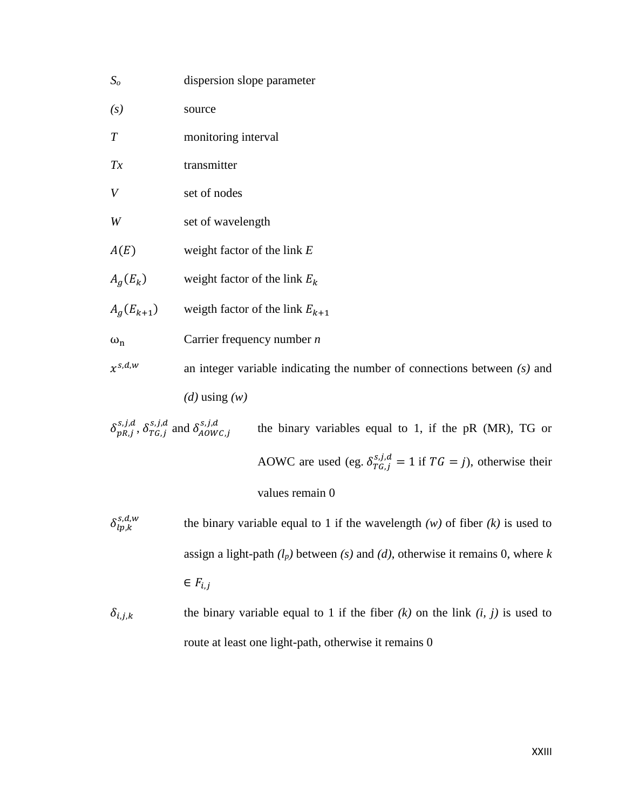| S <sub>o</sub>                                                               | dispersion slope parameter                                                 |
|------------------------------------------------------------------------------|----------------------------------------------------------------------------|
| $\left( s\right)$                                                            | source                                                                     |
| $\boldsymbol{T}$                                                             | monitoring interval                                                        |
| Tx                                                                           | transmitter                                                                |
| V                                                                            | set of nodes                                                               |
| W                                                                            | set of wavelength                                                          |
| A(E)                                                                         | weight factor of the link $E$                                              |
| $A_g(E_k)$                                                                   | weight factor of the link $E_k$                                            |
| $A_q(E_{k+1})$                                                               | weigth factor of the link $E_{k+1}$                                        |
| $\omega_n$                                                                   | Carrier frequency number $n$                                               |
| $x^{s,d,w}$                                                                  | an integer variable indicating the number of connections between $(s)$ and |
|                                                                              | ( <i>d</i> ) using $(w)$                                                   |
| $\delta_{pR,i}^{s,j,d}, \delta_{TG,i}^{s,j,d}$ and $\delta_{AOWC,i}^{s,j,d}$ | the binary variables equal to 1, if the $pR$ (MR), TG or                   |

AOWC are used (eg.  $\delta_{TG,j}^{s,j,d} = 1$  if  $TG = j$ ), otherwise their values remain 0

- $\delta_{lp,k}^{s,d,w}$ the binary variable equal to 1 if the wavelength  $(w)$  of fiber  $(k)$  is used to assign a light-path *(lp)* between *(s)* and *(d)*, otherwise it remains 0, where *k*   $\in F_{i,j}$
- $\delta_{i,j,k}$  the binary variable equal to 1 if the fiber *(k)* on the link *(i, j)* is used to route at least one light-path, otherwise it remains 0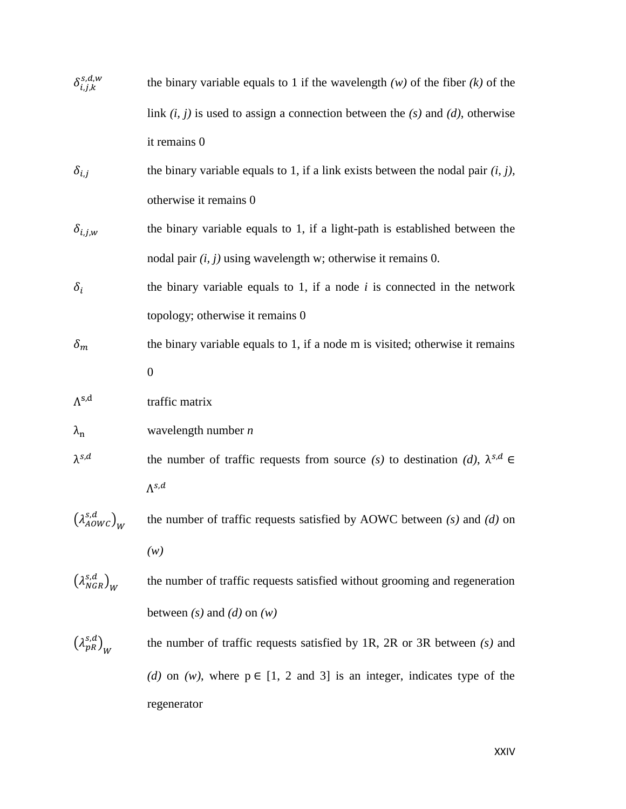| $\delta_{i,j,k}^{s,d,w}$              | the binary variable equals to 1 if the wavelength $(w)$ of the fiber $(k)$ of the      |
|---------------------------------------|----------------------------------------------------------------------------------------|
|                                       | link $(i, j)$ is used to assign a connection between the $(s)$ and $(d)$ , otherwise   |
|                                       | it remains 0                                                                           |
| $\delta_{i,j}$                        | the binary variable equals to 1, if a link exists between the nodal pair $(i, j)$ ,    |
|                                       | otherwise it remains 0                                                                 |
| $\delta_{i,j,w}$                      | the binary variable equals to 1, if a light-path is established between the            |
|                                       | nodal pair $(i, j)$ using wavelength w; otherwise it remains 0.                        |
| $\delta_i$                            | the binary variable equals to 1, if a node $i$ is connected in the network             |
|                                       | topology; otherwise it remains 0                                                       |
| $\delta_m$                            | the binary variable equals to 1, if a node m is visited; otherwise it remains          |
|                                       | $\theta$                                                                               |
| $\Lambda^{s,d}$                       | traffic matrix                                                                         |
| $\lambda_{\rm n}$                     | wavelength number $n$                                                                  |
| $\lambda^{s,d}$                       | the number of traffic requests from source (s) to destination (d), $\lambda^{s,d} \in$ |
|                                       | $\Lambda^{s,d}$                                                                        |
| $\left(\lambda_{AOWC}^{s,d}\right)_W$ | the number of traffic requests satisfied by AOWC between $(s)$ and $(d)$ on            |
|                                       | (w)                                                                                    |
| $\left(\lambda_{NGR}^{s,d}\right)_W$  | the number of traffic requests satisfied without grooming and regeneration             |
|                                       | between $(s)$ and $(d)$ on $(w)$                                                       |
| $\left(\lambda_{pR}^{s,d}\right)_W$   | the number of traffic requests satisfied by 1R, 2R or 3R between $(s)$ and             |
|                                       | (d) on (w), where $p \in [1, 2 \text{ and } 3]$ is an integer, indicates type of the   |
|                                       | regenerator                                                                            |